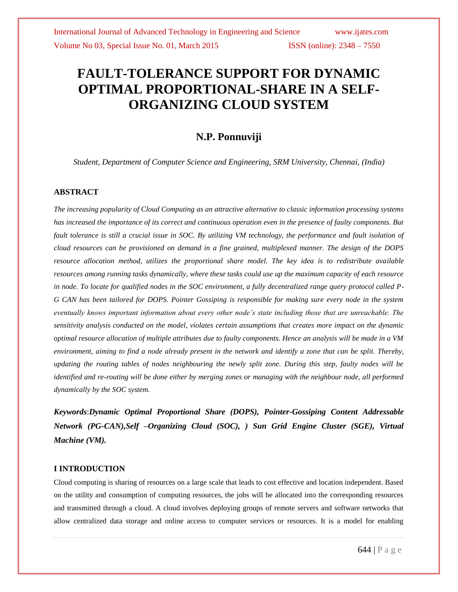# **FAULT-TOLERANCE SUPPORT FOR DYNAMIC OPTIMAL PROPORTIONAL-SHARE IN A SELF-ORGANIZING CLOUD SYSTEM**

## **N.P. Ponnuviji**

*Student, Department of Computer Science and Engineering, SRM University, Chennai, (India)*

## **ABSTRACT**

*The increasing popularity of Cloud Computing as an attractive alternative to classic information processing systems has increased the importance of its correct and continuous operation even in the presence of faulty components. But fault tolerance is still a crucial issue in SOC. By utilizing VM technology, the performance and fault isolation of cloud resources can be provisioned on demand in a fine grained, multiplexed manner. The design of the DOPS resource allocation method, utilizes the proportional share model. The key idea is to redistribute available resources among running tasks dynamically, where these tasks could use up the maximum capacity of each resource in node. To locate for qualified nodes in the SOC environment, a fully decentralized range query protocol called P-G CAN has been tailored for DOPS. Pointer Gossiping is responsible for making sure every node in the system eventually knows important information about every other node's state including those that are unreachable. The sensitivity analysis conducted on the model, violates certain assumptions that creates more impact on the dynamic optimal resource allocation of multiple attributes due to faulty components. Hence an analysis will be made in a VM environment, aiming to find a node already present in the network and identify a zone that can be split. Thereby, updating the routing tables of nodes neighbouring the newly split zone. During this step, faulty nodes will be identified and re-routing will be done either by merging zones or managing with the neighbour node, all performed dynamically by the SOC system.*

*Keywords*:*Dynamic Optimal Proportional Share (DOPS), Pointer-Gossiping Content Addressable Network (PG-CAN),Self –Organizing Cloud (SOC), ) Sun Grid Engine Cluster (SGE), Virtual Machine (VM).*

## **I INTRODUCTION**

Cloud computing is sharing of resources on a large scale that leads to cost effective and location independent. Based on the utility and consumption of computing resources, the jobs will be allocated into the corresponding resources and transmitted through a cloud. A cloud involves deploying groups of remote servers and software networks that allow centralized data storage and online access to computer services or resources. It is a model for enabling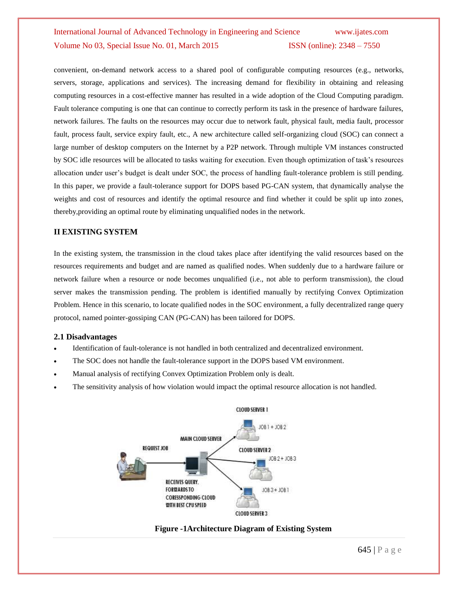convenient, on-demand network access to a shared pool of configurable computing resources (e.g., networks, servers, storage, applications and services). The increasing demand for flexibility in obtaining and releasing computing resources in a cost-effective manner has resulted in a wide adoption of the Cloud Computing paradigm. Fault tolerance computing is one that can continue to correctly perform its task in the presence of hardware failures, network failures. The faults on the resources may occur due to network fault, physical fault, media fault, processor fault, process fault, service expiry fault, etc., A new architecture called self-organizing cloud (SOC) can connect a large number of desktop computers on the Internet by a P2P network. Through multiple VM instances constructed by SOC idle resources will be allocated to tasks waiting for execution. Even though optimization of task's resources allocation under user's budget is dealt under SOC, the process of handling fault-tolerance problem is still pending. In this paper, we provide a fault-tolerance support for DOPS based PG-CAN system, that dynamically analyse the weights and cost of resources and identify the optimal resource and find whether it could be split up into zones, thereby,providing an optimal route by eliminating unqualified nodes in the network.

## **II EXISTING SYSTEM**

In the existing system, the transmission in the cloud takes place after identifying the valid resources based on the resources requirements and budget and are named as qualified nodes. When suddenly due to a hardware failure or network failure when a resource or node becomes unqualified (i.e., not able to perform transmission), the cloud server makes the transmission pending. The problem is identified manually by rectifying Convex Optimization Problem. Hence in this scenario, to locate qualified nodes in the SOC environment, a fully decentralized range query protocol, named pointer-gossiping CAN (PG-CAN) has been tailored for DOPS.

## **2.1 Disadvantages**

- Identification of fault-tolerance is not handled in both centralized and decentralized environment.
- The SOC does not handle the fault-tolerance support in the DOPS based VM environment.
- Manual analysis of rectifying Convex Optimization Problem only is dealt.
- The sensitivity analysis of how violation would impact the optimal resource allocation is not handled.



## **Figure -1Architecture Diagram of Existing System**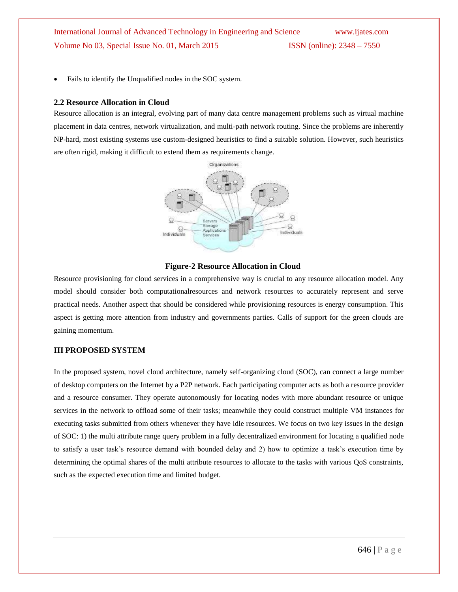Fails to identify the Unqualified nodes in the SOC system.

## **2.2 Resource Allocation in Cloud**

Resource allocation is an integral, evolving part of many data centre management problems such as virtual machine placement in data centres, network virtualization, and multi-path network routing. Since the problems are inherently NP-hard, most existing systems use custom-designed heuristics to find a suitable solution. However, such heuristics are often rigid, making it difficult to extend them as requirements change.



#### **Figure-2 Resource Allocation in Cloud**

Resource provisioning for cloud services in a comprehensive way is crucial to any resource allocation model. Any model should consider both computationalresources and network resources to accurately represent and serve practical needs. Another aspect that should be considered while provisioning resources is energy consumption. This aspect is getting more attention from industry and governments parties. Calls of support for the green clouds are gaining momentum.

#### **III PROPOSED SYSTEM**

In the proposed system, novel cloud architecture, namely self-organizing cloud (SOC), can connect a large number of desktop computers on the Internet by a P2P network. Each participating computer acts as both a resource provider and a resource consumer. They operate autonomously for locating nodes with more abundant resource or unique services in the network to offload some of their tasks; meanwhile they could construct multiple VM instances for executing tasks submitted from others whenever they have idle resources. We focus on two key issues in the design of SOC: 1) the multi attribute range query problem in a fully decentralized environment for locating a qualified node to satisfy a user task's resource demand with bounded delay and 2) how to optimize a task's execution time by determining the optimal shares of the multi attribute resources to allocate to the tasks with various QoS constraints, such as the expected execution time and limited budget.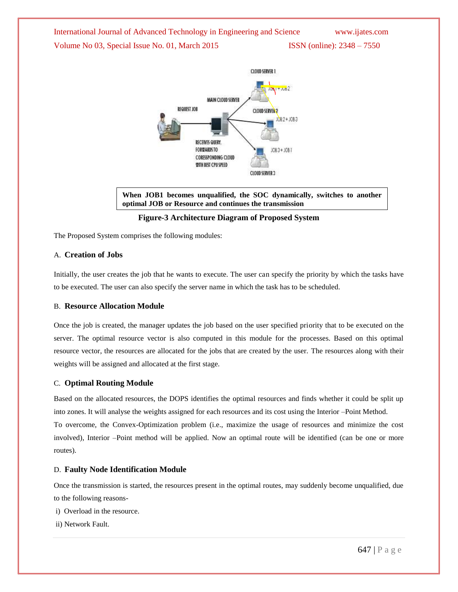

**When JOB1 becomes unqualified, the SOC dynamically, switches to another optimal JOB or Resource and continues the transmission**

## **Figure-3 Architecture Diagram of Proposed System**

The Proposed System comprises the following modules:

## A. **Creation of Jobs**

Initially, the user creates the job that he wants to execute. The user can specify the priority by which the tasks have to be executed. The user can also specify the server name in which the task has to be scheduled.

## B. **Resource Allocation Module**

Once the job is created, the manager updates the job based on the user specified priority that to be executed on the server. The optimal resource vector is also computed in this module for the processes. Based on this optimal resource vector, the resources are allocated for the jobs that are created by the user. The resources along with their weights will be assigned and allocated at the first stage.

#### C. **Optimal Routing Module**

Based on the allocated resources, the DOPS identifies the optimal resources and finds whether it could be split up into zones. It will analyse the weights assigned for each resources and its cost using the Interior –Point Method. To overcome, the Convex-Optimization problem (i.e., maximize the usage of resources and minimize the cost involved), Interior –Point method will be applied. Now an optimal route will be identified (can be one or more routes).

#### D. **Faulty Node Identification Module**

Once the transmission is started, the resources present in the optimal routes, may suddenly become unqualified, due to the following reasons-

- i) Overload in the resource.
- ii) Network Fault.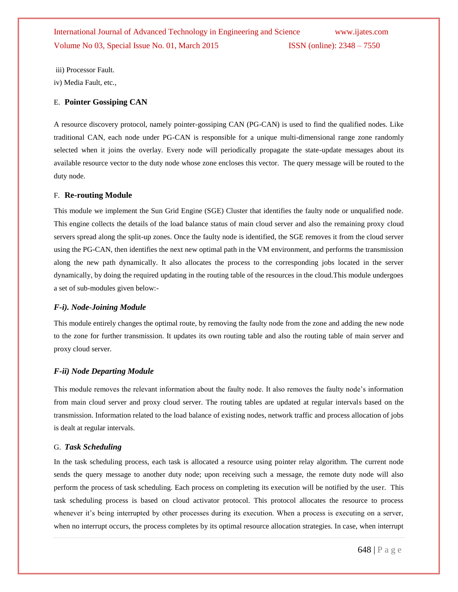iii) Processor Fault.

iv) Media Fault, etc.,

## E. **Pointer Gossiping CAN**

A resource discovery protocol, namely pointer-gossiping CAN (PG-CAN) is used to find the qualified nodes. Like traditional CAN, each node under PG-CAN is responsible for a unique multi-dimensional range zone randomly selected when it joins the overlay. Every node will periodically propagate the state-update messages about its available resource vector to the duty node whose zone encloses this vector. The query message will be routed to the duty node.

## F. **Re-routing Module**

This module we implement the Sun Grid Engine (SGE) Cluster that identifies the faulty node or unqualified node. This engine collects the details of the load balance status of main cloud server and also the remaining proxy cloud servers spread along the split-up zones. Once the faulty node is identified, the SGE removes it from the cloud server using the PG-CAN, then identifies the next new optimal path in the VM environment, and performs the transmission along the new path dynamically. It also allocates the process to the corresponding jobs located in the server dynamically, by doing the required updating in the routing table of the resources in the cloud.This module undergoes a set of sub-modules given below:-

## *F-i). Node-Joining Module*

This module entirely changes the optimal route, by removing the faulty node from the zone and adding the new node to the zone for further transmission. It updates its own routing table and also the routing table of main server and proxy cloud server.

## *F-ii) Node Departing Module*

This module removes the relevant information about the faulty node. It also removes the faulty node's information from main cloud server and proxy cloud server. The routing tables are updated at regular intervals based on the transmission. Information related to the load balance of existing nodes, network traffic and process allocation of jobs is dealt at regular intervals.

## G. *Task Scheduling*

In the task scheduling process, each task is allocated a resource using pointer relay algorithm. The current node sends the query message to another duty node; upon receiving such a message, the remote duty node will also perform the process of task scheduling. Each process on completing its execution will be notified by the user. This task scheduling process is based on cloud activator protocol. This protocol allocates the resource to process whenever it's being interrupted by other processes during its execution. When a process is executing on a server, when no interrupt occurs, the process completes by its optimal resource allocation strategies. In case, when interrupt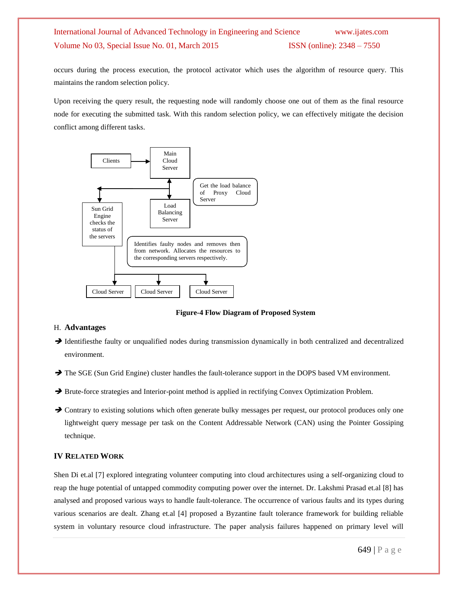occurs during the process execution, the protocol activator which uses the algorithm of resource query. This maintains the random selection policy.

Upon receiving the query result, the requesting node will randomly choose one out of them as the final resource node for executing the submitted task. With this random selection policy, we can effectively mitigate the decision conflict among different tasks.



 **Figure-4 Flow Diagram of Proposed System**

## H. **Advantages**

- Identifiesthe faulty or unqualified nodes during transmission dynamically in both centralized and decentralized environment.
- $\rightarrow$  The SGE (Sun Grid Engine) cluster handles the fault-tolerance support in the DOPS based VM environment.
- → Brute-force strategies and Interior-point method is applied in rectifying Convex Optimization Problem.
- → Contrary to existing solutions which often generate bulky messages per request, our protocol produces only one lightweight query message per task on the Content Addressable Network (CAN) using the Pointer Gossiping technique.

## **IV RELATED WORK**

Shen Di et.al [7] explored integrating volunteer computing into cloud architectures using a self-organizing cloud to reap the huge potential of untapped commodity computing power over the internet. Dr. Lakshmi Prasad et.al [8] has analysed and proposed various ways to handle fault-tolerance. The occurrence of various faults and its types during various scenarios are dealt. Zhang et.al [4] proposed a Byzantine fault tolerance framework for building reliable system in voluntary resource cloud infrastructure. The paper analysis failures happened on primary level will